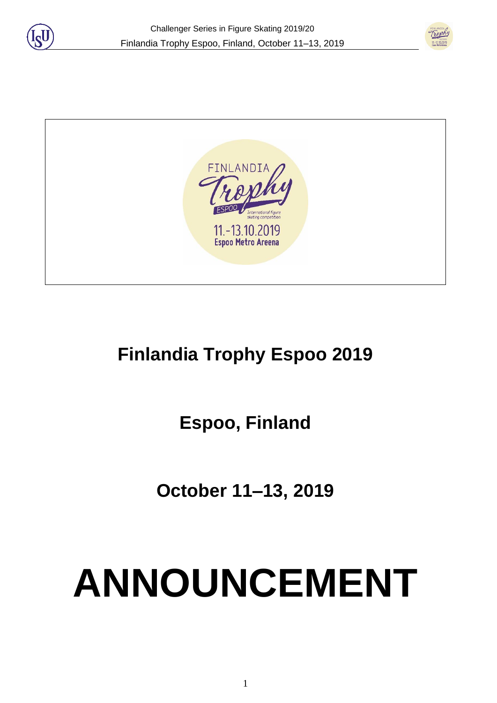





# **Finlandia Trophy Espoo 2019**

**Espoo, Finland**

**October 11–13, 2019** 

# **ANNOUNCEMENT**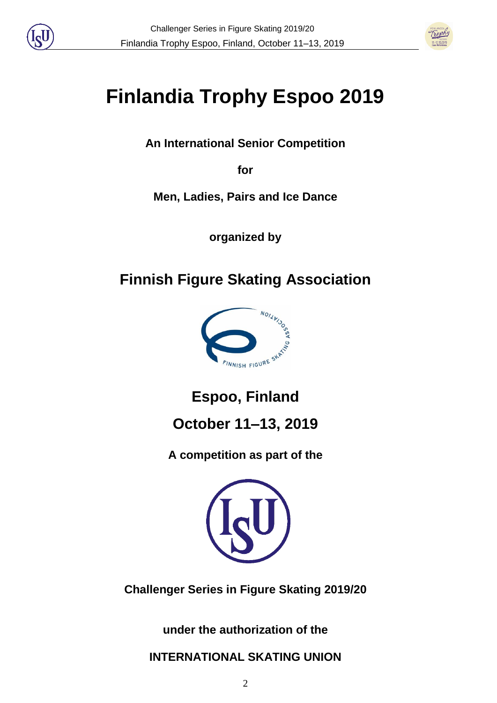



# **Finlandia Trophy Espoo 2019**

**An International Senior Competition** 

**for** 

**Men, Ladies, Pairs and Ice Dance**

**organized by**

# **Finnish Figure Skating Association**



**Espoo, Finland**

**October 11–13, 2019**

**A competition as part of the**



**Challenger Series in Figure Skating 2019/20**

**under the authorization of the** 

**INTERNATIONAL SKATING UNION**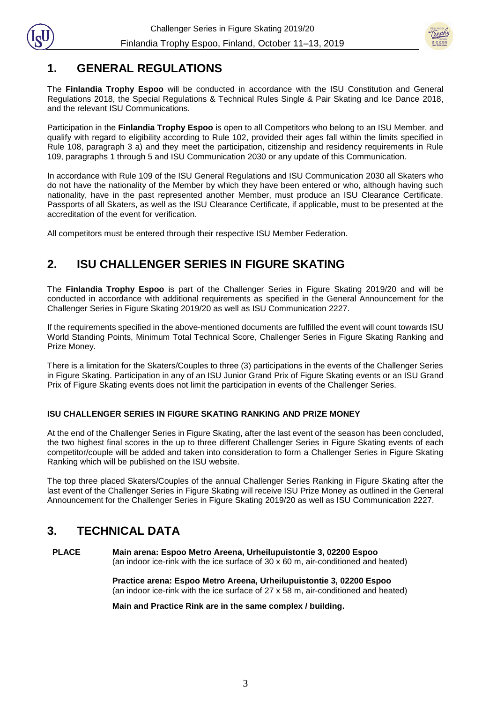



#### **1. GENERAL REGULATIONS**

The **Finlandia Trophy Espoo** will be conducted in accordance with the ISU Constitution and General Regulations 2018, the Special Regulations & Technical Rules Single & Pair Skating and Ice Dance 2018, and the relevant ISU Communications.

Participation in the **Finlandia Trophy Espoo** is open to all Competitors who belong to an ISU Member, and qualify with regard to eligibility according to Rule 102, provided their ages fall within the limits specified in Rule 108, paragraph 3 a) and they meet the participation, citizenship and residency requirements in Rule 109, paragraphs 1 through 5 and ISU Communication 2030 or any update of this Communication.

In accordance with Rule 109 of the ISU General Regulations and ISU Communication 2030 all Skaters who do not have the nationality of the Member by which they have been entered or who, although having such nationality, have in the past represented another Member, must produce an ISU Clearance Certificate. Passports of all Skaters, as well as the ISU Clearance Certificate, if applicable, must to be presented at the accreditation of the event for verification.

All competitors must be entered through their respective ISU Member Federation.

# **2. ISU CHALLENGER SERIES IN FIGURE SKATING**

The **Finlandia Trophy Espoo** is part of the Challenger Series in Figure Skating 2019/20 and will be conducted in accordance with additional requirements as specified in the General Announcement for the Challenger Series in Figure Skating 2019/20 as well as ISU Communication 2227.

If the requirements specified in the above-mentioned documents are fulfilled the event will count towards ISU World Standing Points, Minimum Total Technical Score, Challenger Series in Figure Skating Ranking and Prize Money.

There is a limitation for the Skaters/Couples to three (3) participations in the events of the Challenger Series in Figure Skating. Participation in any of an ISU Junior Grand Prix of Figure Skating events or an ISU Grand Prix of Figure Skating events does not limit the participation in events of the Challenger Series.

#### **ISU CHALLENGER SERIES IN FIGURE SKATING RANKING AND PRIZE MONEY**

At the end of the Challenger Series in Figure Skating, after the last event of the season has been concluded, the two highest final scores in the up to three different Challenger Series in Figure Skating events of each competitor/couple will be added and taken into consideration to form a Challenger Series in Figure Skating Ranking which will be published on the ISU website.

The top three placed Skaters/Couples of the annual Challenger Series Ranking in Figure Skating after the last event of the Challenger Series in Figure Skating will receive ISU Prize Money as outlined in the General Announcement for the Challenger Series in Figure Skating 2019/20 as well as ISU Communication 2227.

# **3. TECHNICAL DATA**

**PLACE Main arena: Espoo Metro Areena, Urheilupuistontie 3, 02200 Espoo** (an indoor ice-rink with the ice surface of 30 x 60 m, air-conditioned and heated)

> **Practice arena: Espoo Metro Areena, Urheilupuistontie 3, 02200 Espoo** (an indoor ice-rink with the ice surface of 27 x 58 m, air-conditioned and heated)

**Main and Practice Rink are in the same complex / building.**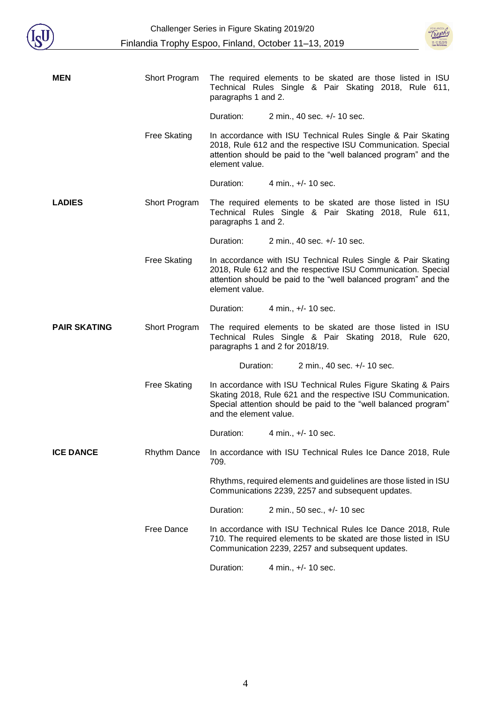



| <b>MEN</b>          | Short Program       | The required elements to be skated are those listed in ISU<br>Technical Rules Single & Pair Skating 2018, Rule 611,<br>paragraphs 1 and 2.                                                                                 |                                                                                                                                                        |  |
|---------------------|---------------------|----------------------------------------------------------------------------------------------------------------------------------------------------------------------------------------------------------------------------|--------------------------------------------------------------------------------------------------------------------------------------------------------|--|
|                     |                     | Duration:                                                                                                                                                                                                                  | 2 min., 40 sec. +/- 10 sec.                                                                                                                            |  |
|                     | <b>Free Skating</b> | In accordance with ISU Technical Rules Single & Pair Skating<br>2018, Rule 612 and the respective ISU Communication. Special<br>attention should be paid to the "well balanced program" and the<br>element value.          |                                                                                                                                                        |  |
|                     |                     | Duration:                                                                                                                                                                                                                  | 4 min., +/- 10 sec.                                                                                                                                    |  |
| <b>LADIES</b>       | Short Program       | paragraphs 1 and 2.                                                                                                                                                                                                        | The required elements to be skated are those listed in ISU<br>Technical Rules Single & Pair Skating 2018, Rule 611,                                    |  |
|                     |                     | Duration:                                                                                                                                                                                                                  | 2 min., 40 sec. +/- 10 sec.                                                                                                                            |  |
|                     | <b>Free Skating</b> | In accordance with ISU Technical Rules Single & Pair Skating<br>2018, Rule 612 and the respective ISU Communication. Special<br>attention should be paid to the "well balanced program" and the<br>element value.          |                                                                                                                                                        |  |
|                     |                     | Duration:                                                                                                                                                                                                                  | 4 min., +/- 10 sec.                                                                                                                                    |  |
| <b>PAIR SKATING</b> | Short Program       |                                                                                                                                                                                                                            | The required elements to be skated are those listed in ISU<br>Technical Rules Single & Pair Skating 2018, Rule 620,<br>paragraphs 1 and 2 for 2018/19. |  |
|                     |                     | Duration:                                                                                                                                                                                                                  | 2 min., 40 sec. +/- 10 sec.                                                                                                                            |  |
|                     | <b>Free Skating</b> | In accordance with ISU Technical Rules Figure Skating & Pairs<br>Skating 2018, Rule 621 and the respective ISU Communication.<br>Special attention should be paid to the "well balanced program"<br>and the element value. |                                                                                                                                                        |  |
|                     |                     | Duration:                                                                                                                                                                                                                  | 4 min., +/- 10 sec.                                                                                                                                    |  |
| <b>ICE DANCE</b>    | <b>Rhythm Dance</b> | 709.                                                                                                                                                                                                                       | In accordance with ISU Technical Rules Ice Dance 2018, Rule                                                                                            |  |
|                     |                     | Rhythms, required elements and guidelines are those listed in ISU<br>Communications 2239, 2257 and subsequent updates.                                                                                                     |                                                                                                                                                        |  |
|                     |                     | Duration:                                                                                                                                                                                                                  | 2 min., 50 sec., +/- 10 sec                                                                                                                            |  |
|                     | Free Dance          | In accordance with ISU Technical Rules Ice Dance 2018, Rule<br>710. The required elements to be skated are those listed in ISU<br>Communication 2239, 2257 and subsequent updates.                                         |                                                                                                                                                        |  |
|                     |                     | Duration:                                                                                                                                                                                                                  | 4 min., +/- 10 sec.                                                                                                                                    |  |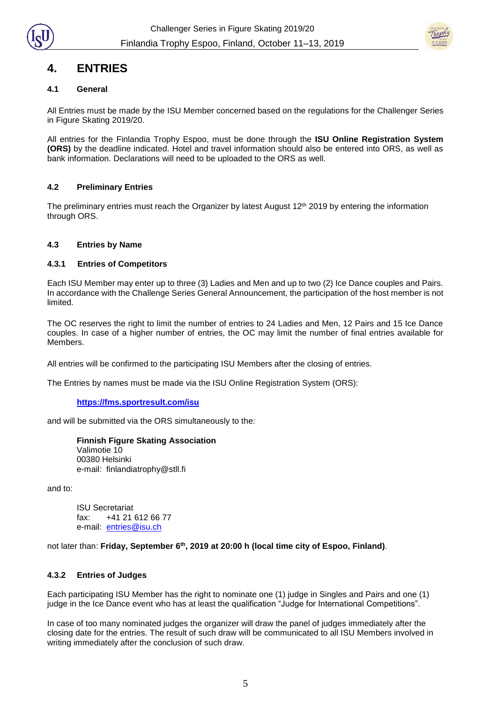



#### **4. ENTRIES**

#### **4.1 General**

All Entries must be made by the ISU Member concerned based on the regulations for the Challenger Series in Figure Skating 2019/20.

All entries for the Finlandia Trophy Espoo, must be done through the **ISU Online Registration System (ORS)** by the deadline indicated. Hotel and travel information should also be entered into ORS, as well as bank information. Declarations will need to be uploaded to the ORS as well.

#### **4.2 Preliminary Entries**

The preliminary entries must reach the Organizer by latest August 12<sup>th</sup> 2019 by entering the information through ORS.

#### **4.3 Entries by Name**

#### **4.3.1 Entries of Competitors**

Each ISU Member may enter up to three (3) Ladies and Men and up to two (2) Ice Dance couples and Pairs. In accordance with the Challenge Series General Announcement, the participation of the host member is not limited.

The OC reserves the right to limit the number of entries to 24 Ladies and Men, 12 Pairs and 15 Ice Dance couples. In case of a higher number of entries, the OC may limit the number of final entries available for Members.

All entries will be confirmed to the participating ISU Members after the closing of entries.

The Entries by names must be made via the ISU Online Registration System (ORS):

#### **<https://fms.sportresult.com/isu>**

and will be submitted via the ORS simultaneously to the:

**Finnish Figure Skating Association** Valimotie 10 00380 Helsinki e-mail: finlandiatrophy@stll.fi

and to:

ISU Secretariat fax: +41 21 612 66 77 e-mail: [entries@isu.ch](mailto:entries@isu.ch)

not later than: **Friday, September 6 th, 2019 at 20:00 h (local time city of Espoo, Finland)**.

#### **4.3.2 Entries of Judges**

Each participating ISU Member has the right to nominate one (1) judge in Singles and Pairs and one (1) judge in the Ice Dance event who has at least the qualification "Judge for International Competitions".

In case of too many nominated judges the organizer will draw the panel of judges immediately after the closing date for the entries. The result of such draw will be communicated to all ISU Members involved in writing immediately after the conclusion of such draw.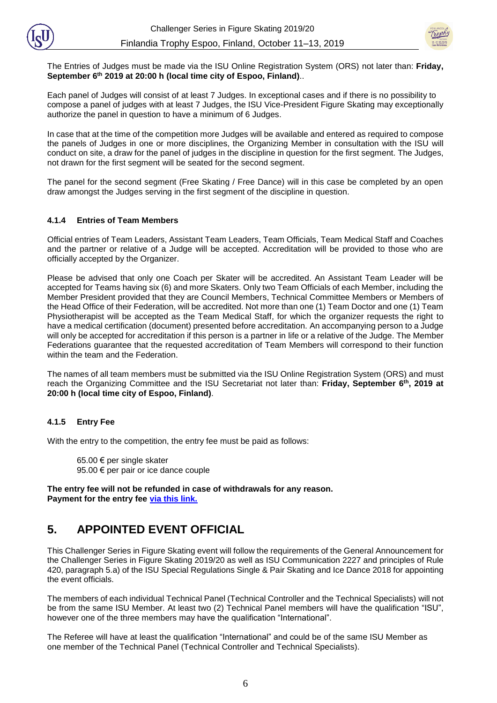

The Entries of Judges must be made via the ISU Online Registration System (ORS) not later than: **Friday, September 6 th 2019 at 20:00 h (local time city of Espoo, Finland)**..

Each panel of Judges will consist of at least 7 Judges. In exceptional cases and if there is no possibility to compose a panel of judges with at least 7 Judges, the ISU Vice-President Figure Skating may exceptionally authorize the panel in question to have a minimum of 6 Judges.

In case that at the time of the competition more Judges will be available and entered as required to compose the panels of Judges in one or more disciplines, the Organizing Member in consultation with the ISU will conduct on site, a draw for the panel of judges in the discipline in question for the first segment. The Judges, not drawn for the first segment will be seated for the second segment.

The panel for the second segment (Free Skating / Free Dance) will in this case be completed by an open draw amongst the Judges serving in the first segment of the discipline in question.

#### **4.1.4 Entries of Team Members**

Official entries of Team Leaders, Assistant Team Leaders, Team Officials, Team Medical Staff and Coaches and the partner or relative of a Judge will be accepted. Accreditation will be provided to those who are officially accepted by the Organizer.

Please be advised that only one Coach per Skater will be accredited. An Assistant Team Leader will be accepted for Teams having six (6) and more Skaters. Only two Team Officials of each Member, including the Member President provided that they are Council Members, Technical Committee Members or Members of the Head Office of their Federation, will be accredited. Not more than one (1) Team Doctor and one (1) Team Physiotherapist will be accepted as the Team Medical Staff, for which the organizer requests the right to have a medical certification (document) presented before accreditation. An accompanying person to a Judge will only be accepted for accreditation if this person is a partner in life or a relative of the Judge. The Member Federations guarantee that the requested accreditation of Team Members will correspond to their function within the team and the Federation.

The names of all team members must be submitted via the ISU Online Registration System (ORS) and must reach the Organizing Committee and the ISU Secretariat not later than: **Friday, September 6 th, 2019 at 20:00 h (local time city of Espoo, Finland)**.

#### **4.1.5 Entry Fee**

With the entry to the competition, the entry fee must be paid as follows:

65.00 € per single skater 95.00 € per pair or ice dance couple

**The entry fee will not be refunded in case of withdrawals for any reason. Payment for the entry fee [via this link.](https://www.lyyti.fi/reg/FT2019_CS_Entry_Fee_for_Competitors_5223)**

#### **5. APPOINTED EVENT OFFICIAL**

This Challenger Series in Figure Skating event will follow the requirements of the General Announcement for the Challenger Series in Figure Skating 2019/20 as well as ISU Communication 2227 and principles of Rule 420, paragraph 5.a) of the ISU Special Regulations Single & Pair Skating and Ice Dance 2018 for appointing the event officials.

The members of each individual Technical Panel (Technical Controller and the Technical Specialists) will not be from the same ISU Member. At least two (2) Technical Panel members will have the qualification "ISU", however one of the three members may have the qualification "International".

The Referee will have at least the qualification "International" and could be of the same ISU Member as one member of the Technical Panel (Technical Controller and Technical Specialists).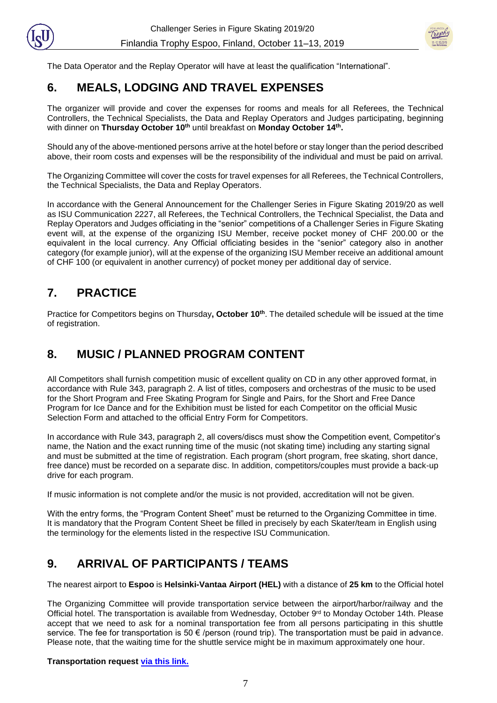



The Data Operator and the Replay Operator will have at least the qualification "International".

# **6. MEALS, LODGING AND TRAVEL EXPENSES**

The organizer will provide and cover the expenses for rooms and meals for all Referees, the Technical Controllers, the Technical Specialists, the Data and Replay Operators and Judges participating, beginning with dinner on **Thursday October 10th** until breakfast on **Monday October 14th .**

Should any of the above-mentioned persons arrive at the hotel before or stay longer than the period described above, their room costs and expenses will be the responsibility of the individual and must be paid on arrival.

The Organizing Committee will cover the costs for travel expenses for all Referees, the Technical Controllers, the Technical Specialists, the Data and Replay Operators.

In accordance with the General Announcement for the Challenger Series in Figure Skating 2019/20 as well as ISU Communication 2227, all Referees, the Technical Controllers, the Technical Specialist, the Data and Replay Operators and Judges officiating in the "senior" competitions of a Challenger Series in Figure Skating event will, at the expense of the organizing ISU Member, receive pocket money of CHF 200.00 or the equivalent in the local currency. Any Official officiating besides in the "senior" category also in another category (for example junior), will at the expense of the organizing ISU Member receive an additional amount of CHF 100 (or equivalent in another currency) of pocket money per additional day of service.

#### **7. PRACTICE**

Practice for Competitors begins on Thursday**, October 10th** . The detailed schedule will be issued at the time of registration.

# **8. MUSIC / PLANNED PROGRAM CONTENT**

All Competitors shall furnish competition music of excellent quality on CD in any other approved format, in accordance with Rule 343, paragraph 2. A list of titles, composers and orchestras of the music to be used for the Short Program and Free Skating Program for Single and Pairs, for the Short and Free Dance Program for Ice Dance and for the Exhibition must be listed for each Competitor on the official Music Selection Form and attached to the official Entry Form for Competitors.

In accordance with Rule 343, paragraph 2, all covers/discs must show the Competition event, Competitor's name, the Nation and the exact running time of the music (not skating time) including any starting signal and must be submitted at the time of registration. Each program (short program, free skating, short dance, free dance) must be recorded on a separate disc. In addition, competitors/couples must provide a back-up drive for each program.

If music information is not complete and/or the music is not provided, accreditation will not be given.

With the entry forms, the "Program Content Sheet" must be returned to the Organizing Committee in time. It is mandatory that the Program Content Sheet be filled in precisely by each Skater/team in English using the terminology for the elements listed in the respective ISU Communication.

# **9. ARRIVAL OF PARTICIPANTS / TEAMS**

The nearest airport to **Espoo** is **Helsinki-Vantaa Airport (HEL)** with a distance of **25 km** to the Official hotel

The Organizing Committee will provide transportation service between the airport/harbor/railway and the Official hotel. The transportation is available from Wednesday, October 9rd to Monday October 14th. Please accept that we need to ask for a nominal transportation fee from all persons participating in this shuttle service. The fee for transportation is 50 € /person (round trip). The transportation must be paid in advance. Please note, that the waiting time for the shuttle service might be in maximum approximately one hour.

#### **Transportation request [via this link.](https://www.lyyti.fi/reg/FT2019_CS_Entry_Fee_for_Competitors_5223)**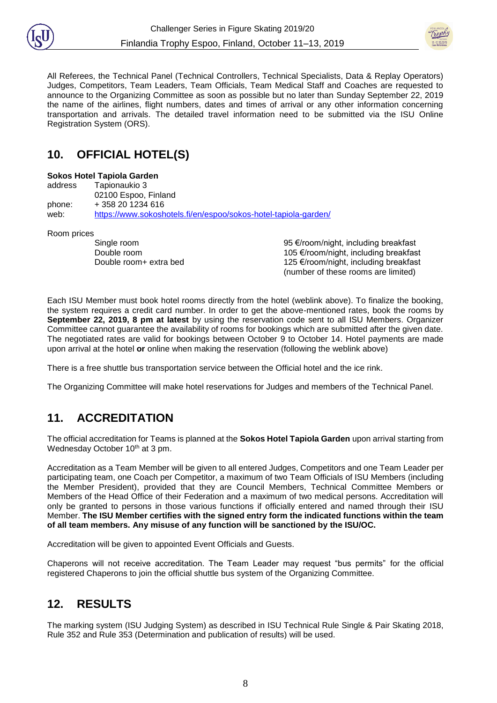



All Referees, the Technical Panel (Technical Controllers, Technical Specialists, Data & Replay Operators) Judges, Competitors, Team Leaders, Team Officials, Team Medical Staff and Coaches are requested to announce to the Organizing Committee as soon as possible but no later than Sunday September 22, 2019 the name of the airlines, flight numbers, dates and times of arrival or any other information concerning transportation and arrivals. The detailed travel information need to be submitted via the ISU Online Registration System (ORS).

# **10. OFFICIAL HOTEL(S)**

#### **Sokos Hotel Tapiola Garden**

address Tapionaukio 3 02100 Espoo, Finland phone: + 358 20 1234 616 web: <https://www.sokoshotels.fi/en/espoo/sokos-hotel-tapiola-garden/>

Room prices

Single room 95 €/room/night, including breakfast Double room 105 €/room/night, including breakfast Double room+ extra bed 125 €/room/night, including breakfast (number of these rooms are limited)

Each ISU Member must book hotel rooms directly from the hotel (weblink above). To finalize the booking, the system requires a credit card number. In order to get the above-mentioned rates, book the rooms by **September 22, 2019, 8 pm at latest** by using the reservation code sent to all ISU Members. Organizer Committee cannot guarantee the availability of rooms for bookings which are submitted after the given date. The negotiated rates are valid for bookings between October 9 to October 14. Hotel payments are made upon arrival at the hotel **or** online when making the reservation (following the weblink above)

There is a free shuttle bus transportation service between the Official hotel and the ice rink.

The Organizing Committee will make hotel reservations for Judges and members of the Technical Panel.

# **11. ACCREDITATION**

The official accreditation for Teams is planned at the **Sokos Hotel Tapiola Garden** upon arrival starting from Wednesday October 10<sup>th</sup> at 3 pm.

Accreditation as a Team Member will be given to all entered Judges, Competitors and one Team Leader per participating team, one Coach per Competitor, a maximum of two Team Officials of ISU Members (including the Member President), provided that they are Council Members, Technical Committee Members or Members of the Head Office of their Federation and a maximum of two medical persons. Accreditation will only be granted to persons in those various functions if officially entered and named through their ISU Member. **The ISU Member certifies with the signed entry form the indicated functions within the team of all team members. Any misuse of any function will be sanctioned by the ISU/OC.**

Accreditation will be given to appointed Event Officials and Guests.

Chaperons will not receive accreditation. The Team Leader may request "bus permits" for the official registered Chaperons to join the official shuttle bus system of the Organizing Committee.

# **12. RESULTS**

The marking system (ISU Judging System) as described in ISU Technical Rule Single & Pair Skating 2018, Rule 352 and Rule 353 (Determination and publication of results) will be used.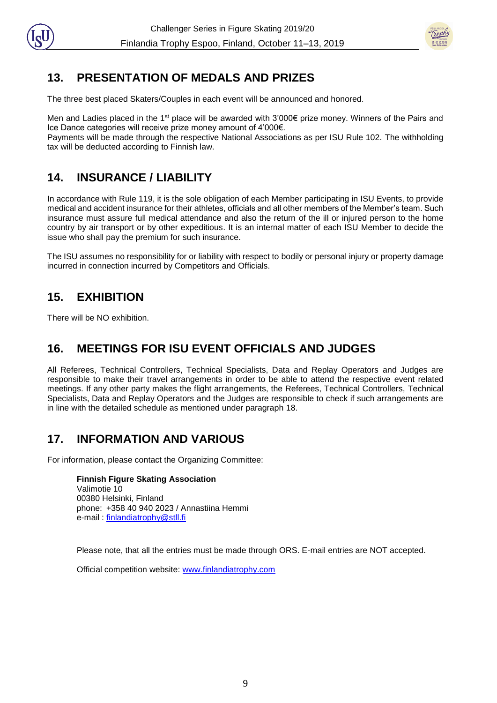

# **13. PRESENTATION OF MEDALS AND PRIZES**

The three best placed Skaters/Couples in each event will be announced and honored.

Men and Ladies placed in the 1<sup>st</sup> place will be awarded with 3'000€ prize money. Winners of the Pairs and Ice Dance categories will receive prize money amount of 4'000€.

Payments will be made through the respective National Associations as per ISU Rule 102. The withholding tax will be deducted according to Finnish law.

# **14. INSURANCE / LIABILITY**

In accordance with Rule 119, it is the sole obligation of each Member participating in ISU Events, to provide medical and accident insurance for their athletes, officials and all other members of the Member's team. Such insurance must assure full medical attendance and also the return of the ill or injured person to the home country by air transport or by other expeditious. It is an internal matter of each ISU Member to decide the issue who shall pay the premium for such insurance.

The ISU assumes no responsibility for or liability with respect to bodily or personal injury or property damage incurred in connection incurred by Competitors and Officials.

# **15. EXHIBITION**

There will be NO exhibition.

#### **16. MEETINGS FOR ISU EVENT OFFICIALS AND JUDGES**

All Referees, Technical Controllers, Technical Specialists, Data and Replay Operators and Judges are responsible to make their travel arrangements in order to be able to attend the respective event related meetings. If any other party makes the flight arrangements, the Referees, Technical Controllers, Technical Specialists, Data and Replay Operators and the Judges are responsible to check if such arrangements are in line with the detailed schedule as mentioned under paragraph 18.

# **17. INFORMATION AND VARIOUS**

For information, please contact the Organizing Committee:

**Finnish Figure Skating Association** Valimotie 10 00380 Helsinki, Finland phone: +358 40 940 2023 / Annastiina Hemmi e-mail : [finlandiatrophy@stll.fi](mailto:finlandiatrophy@stll.fi)

Please note, that all the entries must be made through ORS. E-mail entries are NOT accepted.

Official competition website: [www.finlandiatrophy.com](http://www.finlandiatrophy.com/)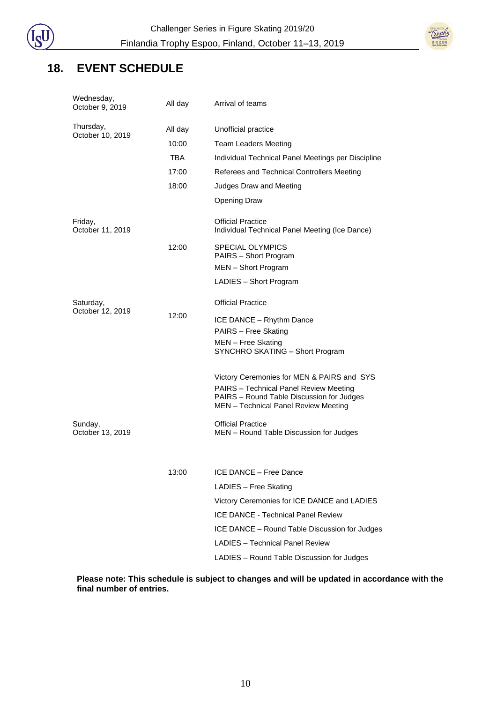

#### **18. EVENT SCHEDULE**

| Wednesday,<br>October 9, 2019 | All day | Arrival of teams                                                                                                            |  |
|-------------------------------|---------|-----------------------------------------------------------------------------------------------------------------------------|--|
| Thursday,<br>October 10, 2019 | All day | Unofficial practice                                                                                                         |  |
|                               | 10:00   | <b>Team Leaders Meeting</b>                                                                                                 |  |
|                               | TBA     | Individual Technical Panel Meetings per Discipline                                                                          |  |
|                               | 17:00   | Referees and Technical Controllers Meeting                                                                                  |  |
|                               | 18:00   | Judges Draw and Meeting                                                                                                     |  |
|                               |         | <b>Opening Draw</b>                                                                                                         |  |
| Friday,<br>October 11, 2019   |         | <b>Official Practice</b><br>Individual Technical Panel Meeting (Ice Dance)                                                  |  |
|                               | 12:00   | <b>SPECIAL OLYMPICS</b><br>PAIRS - Short Program                                                                            |  |
|                               |         | MEN - Short Program                                                                                                         |  |
|                               |         | LADIES - Short Program                                                                                                      |  |
| Saturday,<br>October 12, 2019 |         | <b>Official Practice</b>                                                                                                    |  |
|                               | 12:00   | ICE DANCE - Rhythm Dance                                                                                                    |  |
|                               |         | PAIRS - Free Skating                                                                                                        |  |
|                               |         | MEN - Free Skating<br>SYNCHRO SKATING - Short Program                                                                       |  |
|                               |         | Victory Ceremonies for MEN & PAIRS and SYS                                                                                  |  |
|                               |         | PAIRS - Technical Panel Review Meeting<br>PAIRS - Round Table Discussion for Judges<br>MEN - Technical Panel Review Meeting |  |
| Sunday,<br>October 13, 2019   |         | <b>Official Practice</b><br>MEN - Round Table Discussion for Judges                                                         |  |
|                               |         |                                                                                                                             |  |
|                               | 13:00   | ICE DANCE - Free Dance                                                                                                      |  |
|                               |         | LADIES - Free Skating                                                                                                       |  |
|                               |         | Victory Ceremonies for ICE DANCE and LADIES                                                                                 |  |
|                               |         | <b>ICE DANCE - Technical Panel Review</b>                                                                                   |  |
|                               |         | ICE DANCE - Round Table Discussion for Judges                                                                               |  |
|                               |         | <b>LADIES - Technical Panel Review</b>                                                                                      |  |
|                               |         | LADIES - Round Table Discussion for Judges                                                                                  |  |

**Please note: This schedule is subject to changes and will be updated in accordance with the final number of entries.**